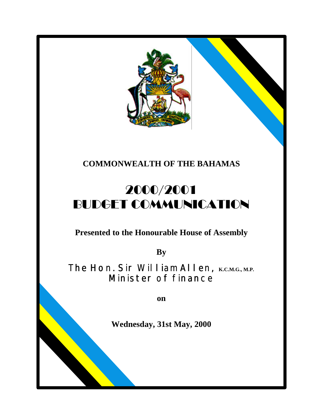

# **COMMONWEALTH OF THE BAHAMAS**

# 2000/2001 BUDGET COMMUNICATION

**Presented to the Honourable House of Assembly**

**By**

The Hon. Sir William Allen, **K.C.M.G., M.P.** Minister of finance

**on**

**Wednesday, 31st May, 2000**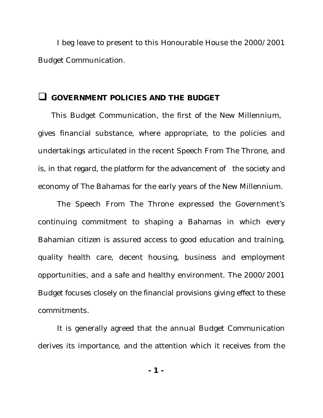I beg leave to present to this Honourable House the 2000/2001 Budget Communication.

### q **GOVERNMENT POLICIES AND THE BUDGET**

This Budget Communication, the first of the New Millennium, gives financial substance, where appropriate, to the policies and undertakings articulated in the recent Speech From The Throne, and is, in that regard, the platform for the advancement of the society and economy of The Bahamas for the early years of the New Millennium.

The Speech From The Throne expressed the Government's continuing commitment to shaping a Bahamas in which every Bahamian citizen is assured access to good education and training, quality health care, decent housing, business and employment opportunities, and a safe and healthy environment. The 2000/2001 Budget focuses closely on the financial provisions giving effect to these commitments.

It is generally agreed that the annual Budget Communication derives its importance, and the attention which it receives from the

**- 1 -**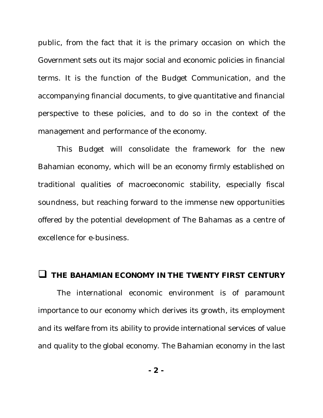public, from the fact that it is the primary occasion on which the Government sets out its major social and economic policies in financial terms. It is the function of the Budget Communication, and the accompanying financial documents, to give quantitative and financial perspective to these policies, and to do so in the context of the management and performance of the economy.

This Budget will consolidate the framework for the new Bahamian economy, which will be an economy firmly established on traditional qualities of macroeconomic stability, especially fiscal soundness, but reaching forward to the immense new opportunities offered by the potential development of The Bahamas as a centre of excellence for e-business.

#### **THE BAHAMIAN ECONOMY IN THE TWENTY FIRST CENTURY**

The international economic environment is of paramount importance to our economy which derives its growth, its employment and its welfare from its ability to provide international services of value and quality to the global economy. The Bahamian economy in the last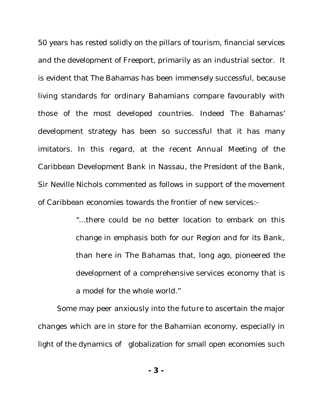50 years has rested solidly on the pillars of tourism, financial services and the development of Freeport, primarily as an industrial sector. It is evident that The Bahamas has been immensely successful, because living standards for ordinary Bahamians compare favourably with those of the most developed countries. Indeed The Bahamas' development strategy has been so successful that it has many imitators. In this regard, at the recent Annual Meeting of the Caribbean Development Bank in Nassau, the President of the Bank, Sir Neville Nichols commented as follows in support of the movement of Caribbean economies towards the frontier of new services:-

> "...there could be no better location to embark on this change in emphasis both for our Region and for its Bank, than here in The Bahamas that, long ago, pioneered the development of a comprehensive services economy that is a model for the whole world."

Some may peer anxiously into the future to ascertain the major changes which are in store for the Bahamian economy, especially in light of the dynamics of globalization for small open economies such

**- 3 -**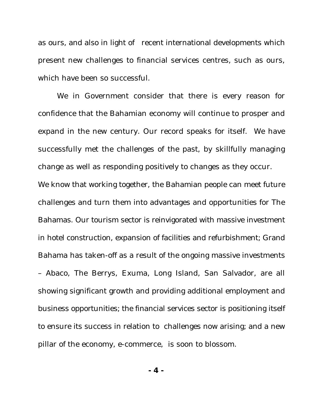as ours, and also in light of recent international developments which present new challenges to financial services centres, such as ours, which have been so successful.

We in Government consider that there is every reason for confidence that the Bahamian economy will continue to prosper and expand in the new century. Our record speaks for itself. We have successfully met the challenges of the past, by skillfully managing change as well as responding positively to changes as they occur.

We know that working together, the Bahamian people can meet future challenges and turn them into advantages and opportunities for The Bahamas. Our tourism sector is reinvigorated with massive investment in hotel construction, expansion of facilities and refurbishment; Grand Bahama has taken-off as a result of the ongoing massive investments – Abaco, The Berrys, Exuma, Long Island, San Salvador, are all showing significant growth and providing additional employment and business opportunities; the financial services sector is positioning itself to ensure its success in relation to challenges now arising; and a new pillar of the economy, e-commerce, is soon to blossom.

**- 4 -**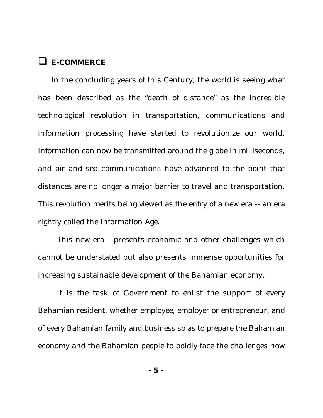## q **E-COMMERCE**

In the concluding years of this Century, the world is seeing what has been described as the "death of distance" as the incredible technological revolution in transportation, communications and information processing have started to revolutionize our world. Information can now be transmitted around the globe in milliseconds, and air and sea communications have advanced to the point that distances are no longer a major barrier to travel and transportation. This revolution merits being viewed as the entry of a new era -- an era rightly called the Information Age.

This new era presents economic and other challenges which cannot be understated but also presents immense opportunities for increasing sustainable development of the Bahamian economy.

It is the task of Government to enlist the support of every Bahamian resident, whether employee, employer or entrepreneur, and of every Bahamian family and business so as to prepare the Bahamian economy and the Bahamian people to boldly face the challenges now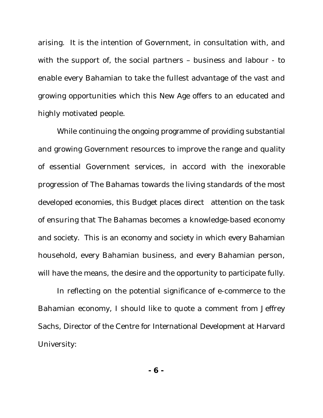arising. It is the intention of Government, in consultation with, and with the support of, the social partners – business and labour - to enable every Bahamian to take the fullest advantage of the vast and growing opportunities which this New Age offers to an educated and highly motivated people.

While continuing the ongoing programme of providing substantial and growing Government resources to improve the range and quality of essential Government services, in accord with the inexorable progression of The Bahamas towards the living standards of the most developed economies, this Budget places direct attention on the task of ensuring that The Bahamas becomes a knowledge-based economy and society. This is an economy and society in which every Bahamian household, every Bahamian business, and every Bahamian person, will have the means, the desire and the opportunity to participate fully.

In reflecting on the potential significance of e-commerce to the Bahamian economy, I should like to quote a comment from Jeffrey Sachs, Director of the Centre for International Development at Harvard University: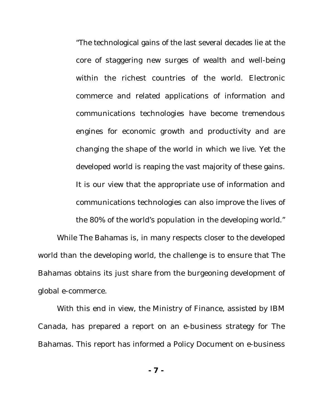"The technological gains of the last several decades lie at the core of staggering new surges of wealth and well-being within the richest countries of the world. Electronic commerce and related applications of information and communications technologies have become tremendous engines for economic growth and productivity and are changing the shape of the world in which we live. Yet the developed world is reaping the vast majority of these gains. It is our view that the appropriate use of information and communications technologies can also improve the lives of

the 80% of the world's population in the developing world."

While The Bahamas is, in many respects closer to the developed world than the developing world, the challenge is to ensure that The Bahamas obtains its just share from the burgeoning development of global e-commerce.

With this end in view, the Ministry of Finance, assisted by IBM Canada, has prepared a report on an e-business strategy for The Bahamas. This report has informed a Policy Document on e-business

**- 7 -**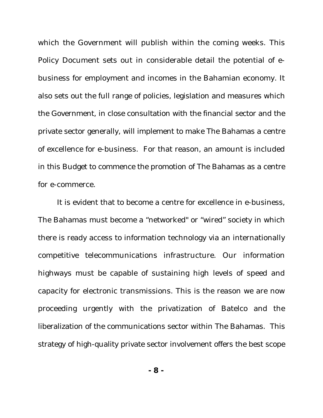which the Government will publish within the coming weeks. This Policy Document sets out in considerable detail the potential of ebusiness for employment and incomes in the Bahamian economy. It also sets out the full range of policies, legislation and measures which the Government, in close consultation with the financial sector and the private sector generally, will implement to make The Bahamas a centre of excellence for e-business. For that reason, an amount is included in this Budget to commence the promotion of The Bahamas as a centre for e-commerce.

It is evident that to become a centre for excellence in e-business, The Bahamas must become a "networked" or "wired" society in which there is ready access to information technology via an internationally competitive telecommunications infrastructure. Our information highways must be capable of sustaining high levels of speed and capacity for electronic transmissions. This is the reason we are now proceeding urgently with the privatization of Batelco and the liberalization of the communications sector within The Bahamas. This strategy of high-quality private sector involvement offers the best scope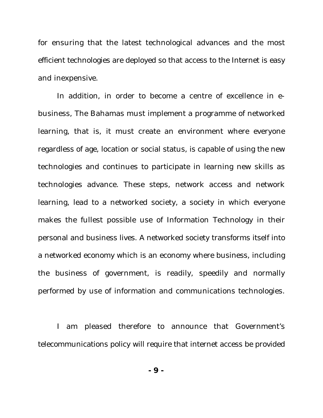for ensuring that the latest technological advances and the most efficient technologies are deployed so that access to the Internet is easy and inexpensive.

In addition, in order to become a centre of excellence in ebusiness, The Bahamas must implement a programme of networked learning, that is, it must create an environment where everyone regardless of age, location or social status, is capable of using the new technologies and continues to participate in learning new skills as technologies advance. These steps, network access and network learning, lead to a networked society, a society in which everyone makes the fullest possible use of Information Technology in their personal and business lives. A networked society transforms itself into a networked economy which is an economy where business, including the business of government, is readily, speedily and normally performed by use of information and communications technologies.

I am pleased therefore to announce that Government's telecommunications policy will require that internet access be provided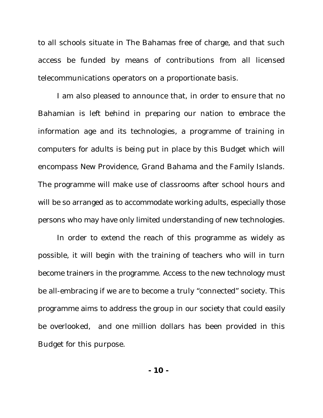to all schools situate in The Bahamas free of charge, and that such access be funded by means of contributions from all licensed telecommunications operators on a proportionate basis.

I am also pleased to announce that, in order to ensure that no Bahamian is left behind in preparing our nation to embrace the information age and its technologies, a programme of training in computers for adults is being put in place by this Budget which will encompass New Providence, Grand Bahama and the Family Islands. The programme will make use of classrooms after school hours and will be so arranged as to accommodate working adults, especially those persons who may have only limited understanding of new technologies.

In order to extend the reach of this programme as widely as possible, it will begin with the training of teachers who will in turn become trainers in the programme. Access to the new technology must be all-embracing if we are to become a truly "connected" society. This programme aims to address the group in our society that could easily be overlooked, and one million dollars has been provided in this Budget for this purpose.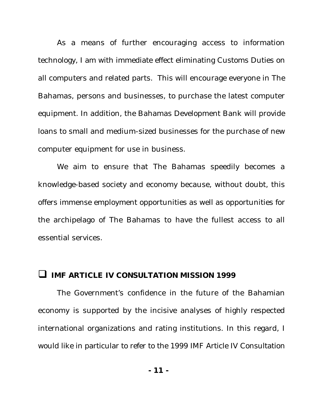As a means of further encouraging access to information technology, I am with immediate effect eliminating Customs Duties on all computers and related parts. This will encourage everyone in The Bahamas, persons and businesses, to purchase the latest computer equipment. In addition, the Bahamas Development Bank will provide loans to small and medium-sized businesses for the purchase of new computer equipment for use in business.

We aim to ensure that The Bahamas speedily becomes a knowledge-based society and economy because, without doubt, this offers immense employment opportunities as well as opportunities for the archipelago of The Bahamas to have the fullest access to all essential services.

#### **IMF ARTICLE IV CONSULTATION MISSION 1999**

The Government's confidence in the future of the Bahamian economy is supported by the incisive analyses of highly respected international organizations and rating institutions. In this regard, I would like in particular to refer to the 1999 IMF Article IV Consultation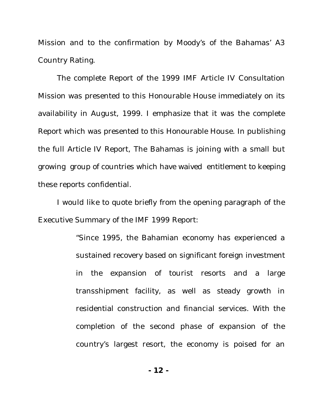Mission and to the confirmation by Moody's of the Bahamas' A3 Country Rating.

The complete Report of the 1999 IMF Article IV Consultation Mission was presented to this Honourable House immediately on its availability in August, 1999. I emphasize that it was the complete Report which was presented to this Honourable House. In publishing the full Article IV Report, The Bahamas is joining with a small but growing group of countries which have waived entitlement to keeping these reports confidential.

I would like to quote briefly from the opening paragraph of the Executive Summary of the IMF 1999 Report:

> "Since 1995, the Bahamian economy has experienced a sustained recovery based on significant foreign investment in the expansion of tourist resorts and a large transshipment facility, as well as steady growth in residential construction and financial services. With the completion of the second phase of expansion of the country's largest resort, the economy is poised for an

> > **- 12 -**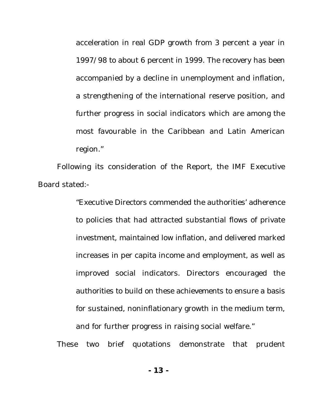acceleration in real GDP growth from 3 percent a year in 1997/98 to about 6 percent in 1999. The recovery has been accompanied by a decline in unemployment and inflation, a strengthening of the international reserve position, and further progress in social indicators which are among the most favourable in the Caribbean and Latin American region."

Following its consideration of the Report, the IMF Executive Board stated:-

> "Executive Directors commended the authorities' adherence to policies that had attracted substantial flows of private investment, maintained low inflation, and delivered marked increases in per capita income and employment, as well as improved social indicators. Directors encouraged the authorities to build on these achievements to ensure a basis for sustained, noninflationary growth in the medium term, and for further progress in raising social welfare."

These two brief quotations demonstrate that prudent

**- 13 -**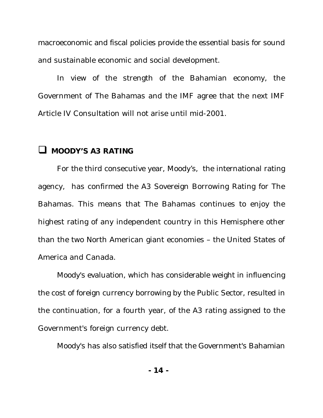macroeconomic and fiscal policies provide the essential basis for sound and sustainable economic and social development.

In view of the strength of the Bahamian economy, the Government of The Bahamas and the IMF agree that the next IMF Article IV Consultation will not arise until mid-2001.

## **Q** MOODY'S A3 RATING

For the third consecutive year, Moody's, the international rating agency, has confirmed the A3 Sovereign Borrowing Rating for The Bahamas. This means that The Bahamas continues to enjoy the highest rating of any independent country in this Hemisphere other than the two North American giant economies – the United States of America and Canada.

Moody's evaluation, which has considerable weight in influencing the cost of foreign currency borrowing by the Public Sector, resulted in the continuation, for a fourth year, of the A3 rating assigned to the Government's foreign currency debt.

Moody's has also satisfied itself that the Government's Bahamian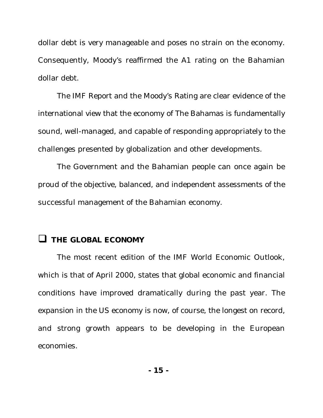dollar debt is very manageable and poses no strain on the economy. Consequently, Moody's reaffirmed the A1 rating on the Bahamian dollar debt.

The IMF Report and the Moody's Rating are clear evidence of the international view that the economy of The Bahamas is fundamentally sound, well-managed, and capable of responding appropriately to the challenges presented by globalization and other developments.

The Government and the Bahamian people can once again be proud of the objective, balanced, and independent assessments of the successful management of the Bahamian economy.

## **Q** THE GLOBAL ECONOMY

The most recent edition of the IMF World Economic Outlook, which is that of April 2000, states that global economic and financial conditions have improved dramatically during the past year. The expansion in the US economy is now, of course, the longest on record, and strong growth appears to be developing in the European economies.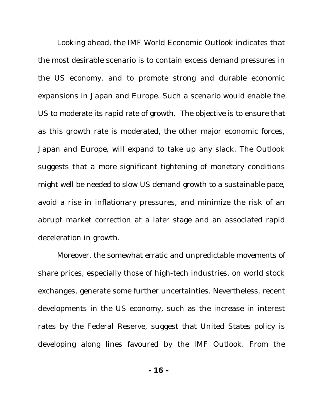Looking ahead, the IMF World Economic Outlook indicates that the most desirable scenario is to contain excess demand pressures in the US economy, and to promote strong and durable economic expansions in Japan and Europe. Such a scenario would enable the US to moderate its rapid rate of growth. The objective is to ensure that as this growth rate is moderated, the other major economic forces, Japan and Europe, will expand to take up any slack. The Outlook suggests that a more significant tightening of monetary conditions might well be needed to slow US demand growth to a sustainable pace, avoid a rise in inflationary pressures, and minimize the risk of an abrupt market correction at a later stage and an associated rapid deceleration in growth.

Moreover, the somewhat erratic and unpredictable movements of share prices, especially those of high-tech industries, on world stock exchanges, generate some further uncertainties. Nevertheless, recent developments in the US economy, such as the increase in interest rates by the Federal Reserve, suggest that United States policy is developing along lines favoured by the IMF Outlook. From the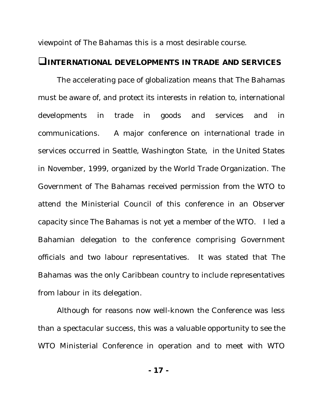viewpoint of The Bahamas this is a most desirable course.

## **QINTERNATIONAL DEVELOPMENTS IN TRADE AND SERVICES**

The accelerating pace of globalization means that The Bahamas must be aware of, and protect its interests in relation to, international developments in trade in goods and services and in communications. A major conference on international trade in services occurred in Seattle, Washington State, in the United States in November, 1999, organized by the World Trade Organization. The Government of The Bahamas received permission from the WTO to attend the Ministerial Council of this conference in an Observer capacity since The Bahamas is not yet a member of the WTO. I led a Bahamian delegation to the conference comprising Government officials and two labour representatives. It was stated that The Bahamas was the only Caribbean country to include representatives from labour in its delegation.

Although for reasons now well-known the Conference was less than a spectacular success, this was a valuable opportunity to see the WTO Ministerial Conference in operation and to meet with WTO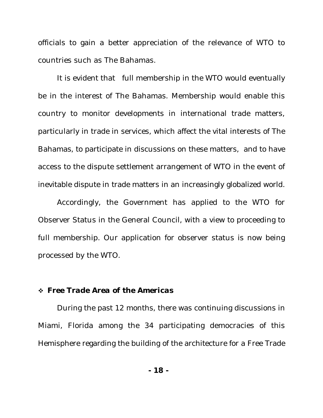officials to gain a better appreciation of the relevance of WTO to countries such as The Bahamas.

It is evident that full membership in the WTO would eventually be in the interest of The Bahamas. Membership would enable this country to monitor developments in international trade matters, particularly in trade in services, which affect the vital interests of The Bahamas, to participate in discussions on these matters, and to have access to the dispute settlement arrangement of WTO in the event of inevitable dispute in trade matters in an increasingly globalized world.

Accordingly, the Government has applied to the WTO for Observer Status in the General Council, with a view to proceeding to full membership. Our application for observer status is now being processed by the WTO.

### v *Free Trade Area of the Americas*

During the past 12 months, there was continuing discussions in Miami, Florida among the 34 participating democracies of this Hemisphere regarding the building of the architecture for a Free Trade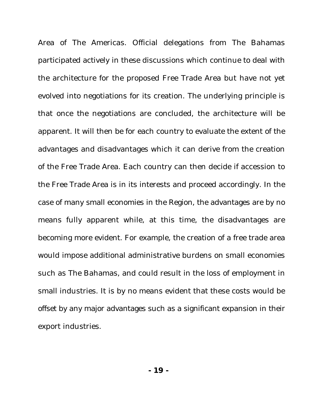Area of The Americas. Official delegations from The Bahamas participated actively in these discussions which continue to deal with the architecture for the proposed Free Trade Area but have not yet evolved into negotiations for its creation. The underlying principle is that once the negotiations are concluded, the architecture will be apparent. It will then be for each country to evaluate the extent of the advantages and disadvantages which it can derive from the creation of the Free Trade Area. Each country can then decide if accession to the Free Trade Area is in its interests and proceed accordingly. In the case of many small economies in the Region, the advantages are by no means fully apparent while, at this time, the disadvantages are becoming more evident. For example, the creation of a free trade area would impose additional administrative burdens on small economies such as The Bahamas, and could result in the loss of employment in small industries. It is by no means evident that these costs would be offset by any major advantages such as a significant expansion in their export industries.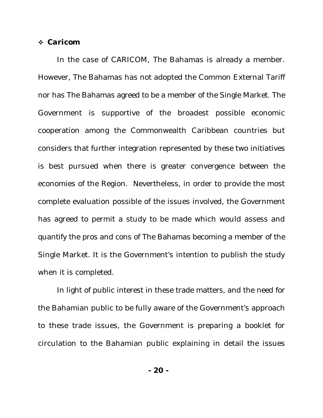#### v *Caricom*

In the case of CARICOM, The Bahamas is already a member. However, The Bahamas has not adopted the Common External Tariff nor has The Bahamas agreed to be a member of the Single Market. The Government is supportive of the broadest possible economic cooperation among the Commonwealth Caribbean countries but considers that further integration represented by these two initiatives is best pursued when there is greater convergence between the economies of the Region. Nevertheless, in order to provide the most complete evaluation possible of the issues involved, the Government has agreed to permit a study to be made which would assess and quantify the pros and cons of The Bahamas becoming a member of the Single Market. It is the Government's intention to publish the study when it is completed.

In light of public interest in these trade matters, and the need for the Bahamian public to be fully aware of the Government's approach to these trade issues, the Government is preparing a booklet for circulation to the Bahamian public explaining in detail the issues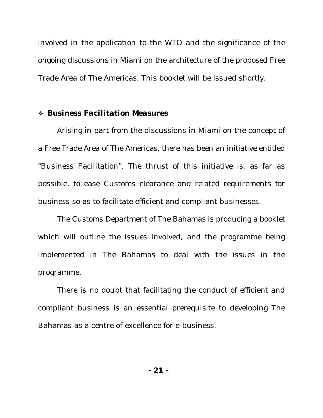involved in the application to the WTO and the significance of the ongoing discussions in Miami on the architecture of the proposed Free Trade Area of The Americas. This booklet will be issued shortly.

#### v *Business Facilitation Measures*

Arising in part from the discussions in Miami on the concept of a Free Trade Area of The Americas, there has been an initiative entitled "Business Facilitation". The thrust of this initiative is, as far as possible, to ease Customs clearance and related requirements for business so as to facilitate efficient and compliant businesses.

The Customs Department of The Bahamas is producing a booklet which will outline the issues involved, and the programme being implemented in The Bahamas to deal with the issues in the programme.

There is no doubt that facilitating the conduct of efficient and compliant business is an essential prerequisite to developing The Bahamas as a centre of excellence for e-business.

**- 21 -**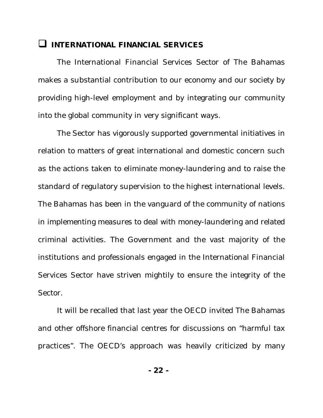## **U INTERNATIONAL FINANCIAL SERVICES**

The International Financial Services Sector of The Bahamas makes a substantial contribution to our economy and our society by providing high-level employment and by integrating our community into the global community in very significant ways.

The Sector has vigorously supported governmental initiatives in relation to matters of great international and domestic concern such as the actions taken to eliminate money-laundering and to raise the standard of regulatory supervision to the highest international levels. The Bahamas has been in the vanguard of the community of nations in implementing measures to deal with money-laundering and related criminal activities. The Government and the vast majority of the institutions and professionals engaged in the International Financial Services Sector have striven mightily to ensure the integrity of the Sector.

It will be recalled that last year the OECD invited The Bahamas and other offshore financial centres for discussions on "harmful tax practices". The OECD's approach was heavily criticized by many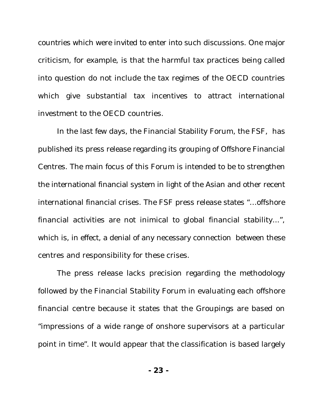countries which were invited to enter into such discussions. One major criticism, for example, is that the harmful tax practices being called into question do not include the tax regimes of the OECD countries which give substantial tax incentives to attract international investment to the OECD countries.

In the last few days, the Financial Stability Forum, the FSF, has published its press release regarding its grouping of Offshore Financial Centres. The main focus of this Forum is intended to be to strengthen the international financial system in light of the Asian and other recent international financial crises. The FSF press release states "…offshore financial activities are not inimical to global financial stability...", which is, in effect, a denial of any necessary connection between these centres and responsibility for these crises.

The press release lacks precision regarding the methodology followed by the Financial Stability Forum in evaluating each offshore financial centre because it states that the Groupings are based on "impressions of a wide range of onshore supervisors at a particular point in time". It would appear that the classification is based largely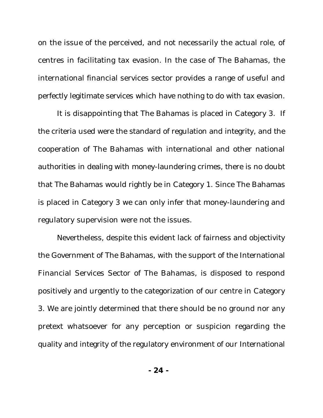on the issue of the perceived, and not necessarily the actual role, of centres in facilitating tax evasion. In the case of The Bahamas, the international financial services sector provides a range of useful and perfectly legitimate services which have nothing to do with tax evasion.

It is disappointing that The Bahamas is placed in Category 3. If the criteria used were the standard of regulation and integrity, and the cooperation of The Bahamas with international and other national authorities in dealing with money-laundering crimes, there is no doubt that The Bahamas would rightly be in Category 1. Since The Bahamas is placed in Category 3 we can only infer that money-laundering and regulatory supervision were not the issues.

Nevertheless, despite this evident lack of fairness and objectivity the Government of The Bahamas, with the support of the International Financial Services Sector of The Bahamas, is disposed to respond positively and urgently to the categorization of our centre in Category 3. We are jointly determined that there should be no ground nor any pretext whatsoever for any perception or suspicion regarding the quality and integrity of the regulatory environment of our International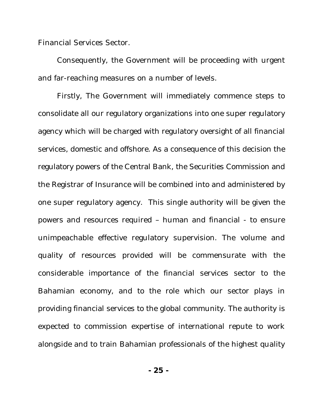Financial Services Sector.

Consequently, the Government will be proceeding with urgent and far-reaching measures on a number of levels.

Firstly, The Government will immediately commence steps to consolidate all our regulatory organizations into one super regulatory agency which will be charged with regulatory oversight of all financial services, domestic and offshore. As a consequence of this decision the regulatory powers of the Central Bank, the Securities Commission and the Registrar of Insurance will be combined into and administered by one super regulatory agency. This single authority will be given the powers and resources required – human and financial - to ensure unimpeachable effective regulatory supervision. The volume and quality of resources provided will be commensurate with the considerable importance of the financial services sector to the Bahamian economy, and to the role which our sector plays in providing financial services to the global community. The authority is expected to commission expertise of international repute to work alongside and to train Bahamian professionals of the highest quality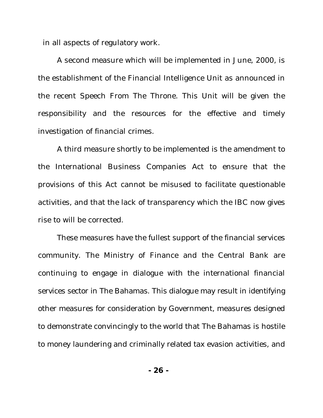in all aspects of regulatory work.

A second measure which will be implemented in June, 2000, is the establishment of the Financial Intelligence Unit as announced in the recent Speech From The Throne. This Unit will be given the responsibility and the resources for the effective and timely investigation of financial crimes.

A third measure shortly to be implemented is the amendment to the International Business Companies Act to ensure that the provisions of this Act cannot be misused to facilitate questionable activities, and that the lack of transparency which the IBC now gives rise to will be corrected.

These measures have the fullest support of the financial services community. The Ministry of Finance and the Central Bank are continuing to engage in dialogue with the international financial services sector in The Bahamas. This dialogue may result in identifying other measures for consideration by Government, measures designed to demonstrate convincingly to the world that The Bahamas is hostile to money laundering and criminally related tax evasion activities, and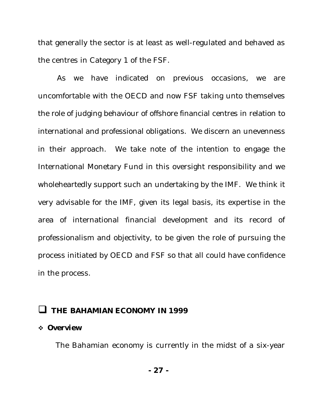that generally the sector is at least as well-regulated and behaved as the centres in Category 1 of the FSF.

As we have indicated on previous occasions, we are uncomfortable with the OECD and now FSF taking unto themselves the role of judging behaviour of offshore financial centres in relation to international and professional obligations. We discern an unevenness in their approach. We take note of the intention to engage the International Monetary Fund in this oversight responsibility and we wholeheartedly support such an undertaking by the IMF. We think it very advisable for the IMF, given its legal basis, its expertise in the area of international financial development and its record of professionalism and objectivity, to be given the role of pursuing the process initiated by OECD and FSF so that all could have confidence in the process.

## **Q THE BAHAMIAN ECONOMY IN 1999**

#### v *Overview*

The Bahamian economy is currently in the midst of a six-year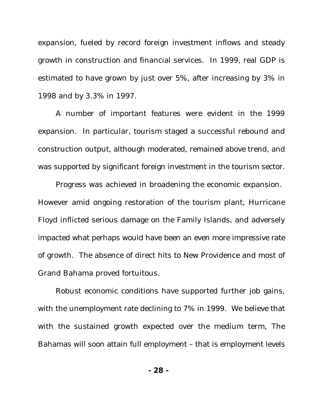expansion, fueled by record foreign investment inflows and steady growth in construction and financial services. In 1999, real GDP is estimated to have grown by just over 5%, after increasing by 3% in 1998 and by 3.3% in 1997.

A number of important features were evident in the 1999 expansion. In particular, tourism staged a successful rebound and construction output, although moderated, remained above trend, and was supported by significant foreign investment in the tourism sector.

Progress was achieved in broadening the economic expansion. However amid ongoing restoration of the tourism plant, Hurricane Floyd inflicted serious damage on the Family Islands, and adversely impacted what perhaps would have been an even more impressive rate of growth. The absence of direct hits to New Providence and most of Grand Bahama proved fortuitous.

Robust economic conditions have supported further job gains, with the unemployment rate declining to 7% in 1999. We believe that with the sustained growth expected over the medium term, The Bahamas will soon attain full employment – that is employment levels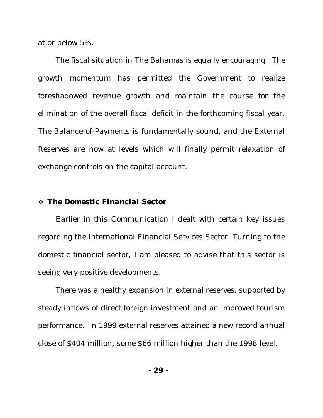at or below 5%.

The fiscal situation in The Bahamas is equally encouraging. The growth momentum has permitted the Government to realize foreshadowed revenue growth and maintain the course for the elimination of the overall fiscal deficit in the forthcoming fiscal year. The Balance-of-Payments is fundamentally sound, and the External Reserves are now at levels which will finally permit relaxation of exchange controls on the capital account.

#### v *The Domestic Financial Sector*

Earlier in this Communication I dealt with certain key issues regarding the International Financial Services Sector. Turning to the domestic financial sector, I am pleased to advise that this sector is seeing very positive developments.

There was a healthy expansion in external reserves, supported by steady inflows of direct foreign investment and an improved tourism performance. In 1999 external reserves attained a new record annual close of \$404 million, some \$66 million higher than the 1998 level.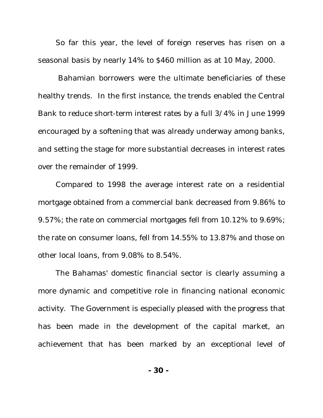So far this year, the level of foreign reserves has risen on a seasonal basis by nearly 14% to \$460 million as at 10 May, 2000.

 Bahamian borrowers were the ultimate beneficiaries of these healthy trends. In the first instance, the trends enabled the Central Bank to reduce short-term interest rates by a full 3/4% in June 1999 encouraged by a softening that was already underway among banks, and setting the stage for more substantial decreases in interest rates over the remainder of 1999.

Compared to 1998 the average interest rate on a residential mortgage obtained from a commercial bank decreased from 9.86% to 9.57%; the rate on commercial mortgages fell from 10.12% to 9.69%; the rate on consumer loans, fell from 14.55% to 13.87% and those on other local loans, from 9.08% to 8.54%.

The Bahamas' domestic financial sector is clearly assuming a more dynamic and competitive role in financing national economic activity. The Government is especially pleased with the progress that has been made in the development of the capital market, an achievement that has been marked by an exceptional level of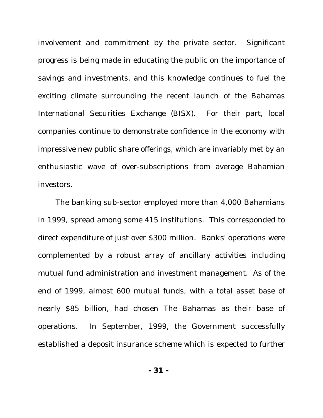involvement and commitment by the private sector. Significant progress is being made in educating the public on the importance of savings and investments, and this knowledge continues to fuel the exciting climate surrounding the recent launch of the Bahamas International Securities Exchange (BISX). For their part, local companies continue to demonstrate confidence in the economy with impressive new public share offerings, which are invariably met by an enthusiastic wave of over-subscriptions from average Bahamian investors.

The banking sub-sector employed more than 4,000 Bahamians in 1999, spread among some 415 institutions. This corresponded to direct expenditure of just over \$300 million. Banks' operations were complemented by a robust array of ancillary activities including mutual fund administration and investment management. As of the end of 1999, almost 600 mutual funds, with a total asset base of nearly \$85 billion, had chosen The Bahamas as their base of operations. In September, 1999, the Government successfully established a deposit insurance scheme which is expected to further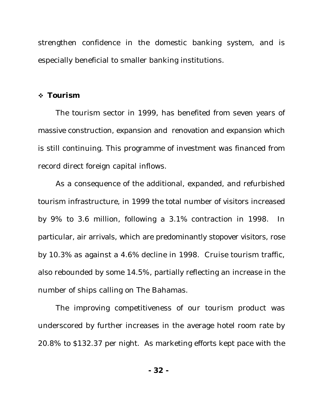strengthen confidence in the domestic banking system, and is especially beneficial to smaller banking institutions.

#### v *Tourism*

The tourism sector in 1999, has benefited from seven years of massive construction, expansion and renovation and expansion which is still continuing. This programme of investment was financed from record direct foreign capital inflows.

As a consequence of the additional, expanded, and refurbished tourism infrastructure, in 1999 the total number of visitors increased by 9% to 3.6 million, following a 3.1% contraction in 1998. In particular, air arrivals, which are predominantly stopover visitors, rose by 10.3% as against a 4.6% decline in 1998. Cruise tourism traffic, also rebounded by some 14.5%, partially reflecting an increase in the number of ships calling on The Bahamas.

The improving competitiveness of our tourism product was underscored by further increases in the average hotel room rate by 20.8% to \$132.37 per night. As marketing efforts kept pace with the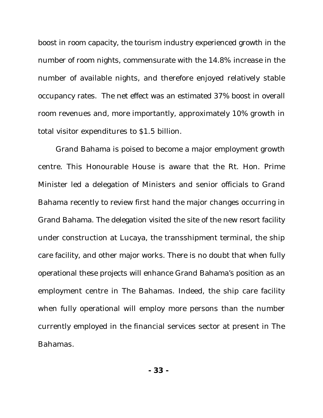boost in room capacity, the tourism industry experienced growth in the number of room nights, commensurate with the 14.8% increase in the number of available nights, and therefore enjoyed relatively stable occupancy rates. The net effect was an estimated 37% boost in overall room revenues and, more importantly, approximately 10% growth in total visitor expenditures to \$1.5 billion.

Grand Bahama is poised to become a major employment growth centre. This Honourable House is aware that the Rt. Hon. Prime Minister led a delegation of Ministers and senior officials to Grand Bahama recently to review first hand the major changes occurring in Grand Bahama. The delegation visited the site of the new resort facility under construction at Lucaya, the transshipment terminal, the ship care facility, and other major works. There is no doubt that when fully operational these projects will enhance Grand Bahama's position as an employment centre in The Bahamas. Indeed, the ship care facility when fully operational will employ more persons than the number currently employed in the financial services sector at present in The Bahamas.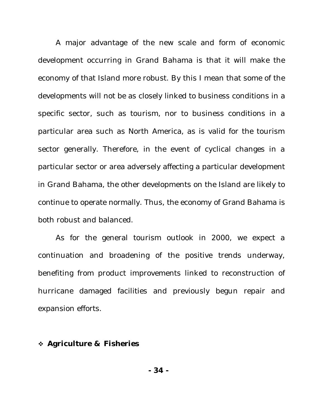A major advantage of the new scale and form of economic development occurring in Grand Bahama is that it will make the economy of that Island more robust. By this I mean that some of the developments will not be as closely linked to business conditions in a specific sector, such as tourism, nor to business conditions in a particular area such as North America, as is valid for the tourism sector generally. Therefore, in the event of cyclical changes in a particular sector or area adversely affecting a particular development in Grand Bahama, the other developments on the Island are likely to continue to operate normally. Thus, the economy of Grand Bahama is both robust and balanced.

As for the general tourism outlook in 2000, we expect a continuation and broadening of the positive trends underway, benefiting from product improvements linked to reconstruction of hurricane damaged facilities and previously begun repair and expansion efforts.

### v *Agriculture & Fisheries*

**- 34 -**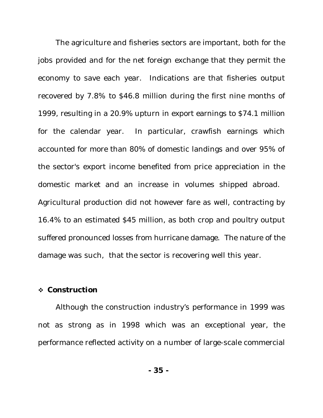The agriculture and fisheries sectors are important, both for the jobs provided and for the net foreign exchange that they permit the economy to save each year. Indications are that fisheries output recovered by 7.8% to \$46.8 million during the first nine months of 1999, resulting in a 20.9% upturn in export earnings to \$74.1 million for the calendar year. In particular, crawfish earnings which accounted for more than 80% of domestic landings and over 95% of the sector's export income benefited from price appreciation in the domestic market and an increase in volumes shipped abroad. Agricultural production did not however fare as well, contracting by 16.4% to an estimated \$45 million, as both crop and poultry output suffered pronounced losses from hurricane damage. The nature of the damage was such, that the sector is recovering well this year.

#### v *Construction*

Although the construction industry's performance in 1999 was not as strong as in 1998 which was an exceptional year, the performance reflected activity on a number of large-scale commercial

**- 35 -**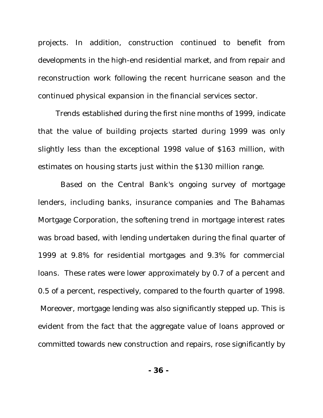projects. In addition, construction continued to benefit from developments in the high-end residential market, and from repair and reconstruction work following the recent hurricane season and the continued physical expansion in the financial services sector.

Trends established during the first nine months of 1999, indicate that the value of building projects started during 1999 was only slightly less than the exceptional 1998 value of \$163 million, with estimates on housing starts just within the \$130 million range.

 Based on the Central Bank's ongoing survey of mortgage lenders, including banks, insurance companies and The Bahamas Mortgage Corporation, the softening trend in mortgage interest rates was broad based, with lending undertaken during the final quarter of 1999 at 9.8% for residential mortgages and 9.3% for commercial loans. These rates were lower approximately by 0.7 of a percent and 0.5 of a percent, respectively, compared to the fourth quarter of 1998. Moreover, mortgage lending was also significantly stepped up. This is evident from the fact that the aggregate value of loans approved or committed towards new construction and repairs, rose significantly by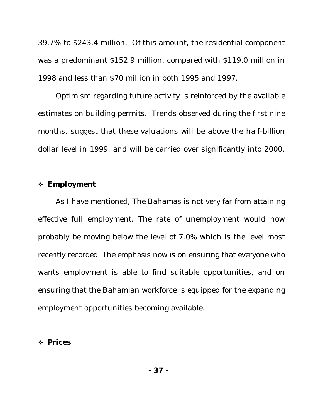39.7% to \$243.4 million. Of this amount, the residential component was a predominant \$152.9 million, compared with \$119.0 million in 1998 and less than \$70 million in both 1995 and 1997.

Optimism regarding future activity is reinforced by the available estimates on building permits. Trends observed during the first nine months, suggest that these valuations will be above the half-billion dollar level in 1999, and will be carried over significantly into 2000.

#### v *Employment*

As I have mentioned, The Bahamas is not very far from attaining effective full employment. The rate of unemployment would now probably be moving below the level of 7.0% which is the level most recently recorded. The emphasis now is on ensuring that everyone who wants employment is able to find suitable opportunities, and on ensuring that the Bahamian workforce is equipped for the expanding employment opportunities becoming available.

#### v *Prices*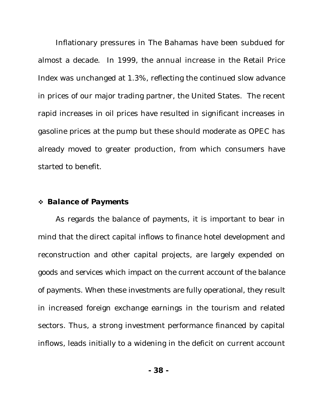Inflationary pressures in The Bahamas have been subdued for almost a decade. In 1999, the annual increase in the Retail Price Index was unchanged at 1.3%, reflecting the continued slow advance in prices of our major trading partner, the United States. The recent rapid increases in oil prices have resulted in significant increases in gasoline prices at the pump but these should moderate as OPEC has already moved to greater production, from which consumers have started to benefit.

#### v *Balance of Payments*

As regards the balance of payments, it is important to bear in mind that the direct capital inflows to finance hotel development and reconstruction and other capital projects, are largely expended on goods and services which impact on the current account of the balance of payments. When these investments are fully operational, they result in increased foreign exchange earnings in the tourism and related sectors. Thus, a strong investment performance financed by capital inflows, leads initially to a widening in the deficit on current account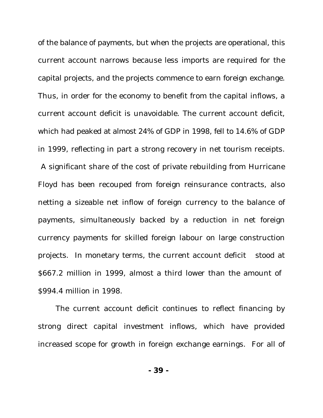of the balance of payments, but when the projects are operational, this current account narrows because less imports are required for the capital projects, and the projects commence to earn foreign exchange. Thus, in order for the economy to benefit from the capital inflows, a current account deficit is unavoidable. The current account deficit, which had peaked at almost 24% of GDP in 1998, fell to 14.6% of GDP in 1999, reflecting in part a strong recovery in net tourism receipts. A significant share of the cost of private rebuilding from Hurricane Floyd has been recouped from foreign reinsurance contracts, also netting a sizeable net inflow of foreign currency to the balance of payments, simultaneously backed by a reduction in net foreign currency payments for skilled foreign labour on large construction projects. In monetary terms, the current account deficit stood at \$667.2 million in 1999, almost a third lower than the amount of \$994.4 million in 1998.

The current account deficit continues to reflect financing by strong direct capital investment inflows, which have provided increased scope for growth in foreign exchange earnings. For all of

**- 39 -**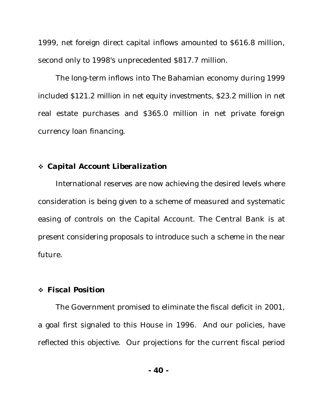1999, net foreign direct capital inflows amounted to \$616.8 million, second only to 1998's unprecedented \$817.7 million.

The long-term inflows into The Bahamian economy during 1999 included \$121.2 million in net equity investments, \$23.2 million in net real estate purchases and \$365.0 million in net private foreign currency loan financing.

#### v *Capital Account Liberalization*

International reserves are now achieving the desired levels where consideration is being given to a scheme of measured and systematic easing of controls on the Capital Account. The Central Bank is at present considering proposals to introduce such a scheme in the near future.

#### v *Fiscal Position*

The Government promised to eliminate the fiscal deficit in 2001, a goal first signaled to this House in 1996. And our policies, have reflected this objective. Our projections for the current fiscal period

**- 40 -**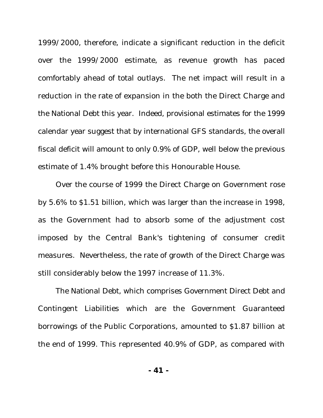1999/2000, therefore, indicate a significant reduction in the deficit over the 1999/2000 estimate, as revenue growth has paced comfortably ahead of total outlays. The net impact will result in a reduction in the rate of expansion in the both the Direct Charge and the National Debt this year. Indeed, provisional estimates for the 1999 calendar year suggest that by international GFS standards, the overall fiscal deficit will amount to only 0.9% of GDP, well below the previous estimate of 1.4% brought before this Honourable House.

Over the course of 1999 the Direct Charge on Government rose by 5.6% to \$1.51 billion, which was larger than the increase in 1998, as the Government had to absorb some of the adjustment cost imposed by the Central Bank's tightening of consumer credit measures. Nevertheless, the rate of growth of the Direct Charge was still considerably below the 1997 increase of 11.3%.

The National Debt, which comprises Government Direct Debt and Contingent Liabilities which are the Government Guaranteed borrowings of the Public Corporations, amounted to \$1.87 billion at the end of 1999. This represented 40.9% of GDP, as compared with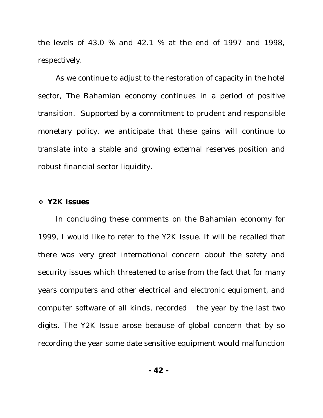the levels of 43.0 % and 42.1 % at the end of 1997 and 1998, respectively.

As we continue to adjust to the restoration of capacity in the hotel sector, The Bahamian economy continues in a period of positive transition. Supported by a commitment to prudent and responsible monetary policy, we anticipate that these gains will continue to translate into a stable and growing external reserves position and robust financial sector liquidity.

#### v *Y2K Issues*

In concluding these comments on the Bahamian economy for 1999, I would like to refer to the Y2K Issue. It will be recalled that there was very great international concern about the safety and security issues which threatened to arise from the fact that for many years computers and other electrical and electronic equipment, and computer software of all kinds, recorded the year by the last two digits. The Y2K Issue arose because of global concern that by so recording the year some date sensitive equipment would malfunction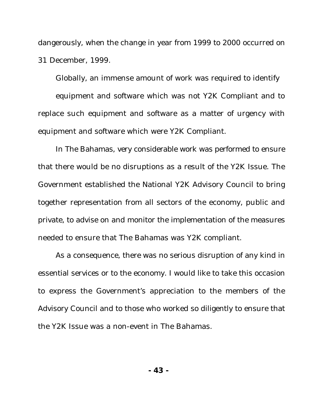dangerously, when the change in year from 1999 to 2000 occurred on 31 December, 1999.

Globally, an immense amount of work was required to identify

equipment and software which was not Y2K Compliant and to replace such equipment and software as a matter of urgency with equipment and software which were Y2K Compliant.

In The Bahamas, very considerable work was performed to ensure that there would be no disruptions as a result of the Y2K Issue. The Government established the National Y2K Advisory Council to bring together representation from all sectors of the economy, public and private, to advise on and monitor the implementation of the measures needed to ensure that The Bahamas was Y2K compliant.

As a consequence, there was no serious disruption of any kind in essential services or to the economy. I would like to take this occasion to express the Government's appreciation to the members of the Advisory Council and to those who worked so diligently to ensure that the Y2K Issue was a non-event in The Bahamas.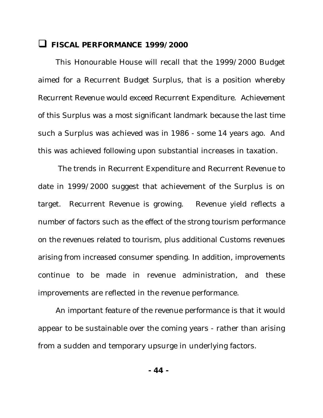## **Q** FISCAL PERFORMANCE 1999/2000

This Honourable House will recall that the 1999/2000 Budget aimed for a Recurrent Budget Surplus, that is a position whereby Recurrent Revenue would exceed Recurrent Expenditure. Achievement of this Surplus was a most significant landmark because the last time such a Surplus was achieved was in 1986 - some 14 years ago. And this was achieved following upon substantial increases in taxation.

 The trends in Recurrent Expenditure and Recurrent Revenue to date in 1999/2000 suggest that achievement of the Surplus is on target. Recurrent Revenue is growing. Revenue yield reflects a number of factors such as the effect of the strong tourism performance on the revenues related to tourism, plus additional Customs revenues arising from increased consumer spending. In addition, improvements continue to be made in revenue administration, and these improvements are reflected in the revenue performance.

An important feature of the revenue performance is that it would appear to be sustainable over the coming years - rather than arising from a sudden and temporary upsurge in underlying factors.

**- 44 -**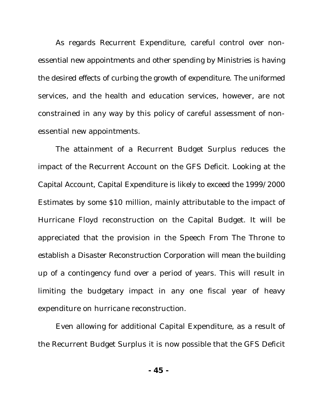As regards Recurrent Expenditure, careful control over nonessential new appointments and other spending by Ministries is having the desired effects of curbing the growth of expenditure. The uniformed services, and the health and education services, however, are not constrained in any way by this policy of careful assessment of nonessential new appointments.

The attainment of a Recurrent Budget Surplus reduces the impact of the Recurrent Account on the GFS Deficit. Looking at the Capital Account, Capital Expenditure is likely to exceed the 1999/2000 Estimates by some \$10 million, mainly attributable to the impact of Hurricane Floyd reconstruction on the Capital Budget. It will be appreciated that the provision in the Speech From The Throne to establish a Disaster Reconstruction Corporation will mean the building up of a contingency fund over a period of years. This will result in limiting the budgetary impact in any one fiscal year of heavy expenditure on hurricane reconstruction.

Even allowing for additional Capital Expenditure, as a result of the Recurrent Budget Surplus it is now possible that the GFS Deficit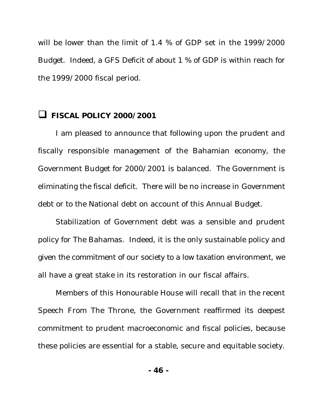will be lower than the limit of 1.4 % of GDP set in the 1999/2000 Budget. Indeed, a GFS Deficit of about 1 % of GDP is within reach for the 1999/2000 fiscal period.

## **Q FISCAL POLICY 2000/2001**

I am pleased to announce that following upon the prudent and fiscally responsible management of the Bahamian economy, the Government Budget for 2000/2001 is balanced. The Government is eliminating the fiscal deficit. There will be no increase in Government debt or to the National debt on account of this Annual Budget.

Stabilization of Government debt was a sensible and prudent policy for The Bahamas. Indeed, it is the only sustainable policy and given the commitment of our society to a low taxation environment, we all have a great stake in its restoration in our fiscal affairs.

Members of this Honourable House will recall that in the recent Speech From The Throne, the Government reaffirmed its deepest commitment to prudent macroeconomic and fiscal policies, because these policies are essential for a stable, secure and equitable society.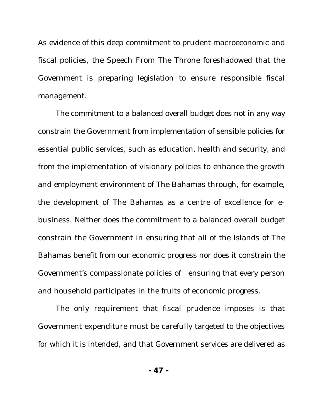As evidence of this deep commitment to prudent macroeconomic and fiscal policies, the Speech From The Throne foreshadowed that the Government is preparing legislation to ensure responsible fiscal management.

The commitment to a balanced overall budget does not in any way constrain the Government from implementation of sensible policies for essential public services, such as education, health and security, and from the implementation of visionary policies to enhance the growth and employment environment of The Bahamas through, for example, the development of The Bahamas as a centre of excellence for ebusiness. Neither does the commitment to a balanced overall budget constrain the Government in ensuring that all of the Islands of The Bahamas benefit from our economic progress nor does it constrain the Government's compassionate policies of ensuring that every person and household participates in the fruits of economic progress.

The only requirement that fiscal prudence imposes is that Government expenditure must be carefully targeted to the objectives for which it is intended, and that Government services are delivered as

**- 47 -**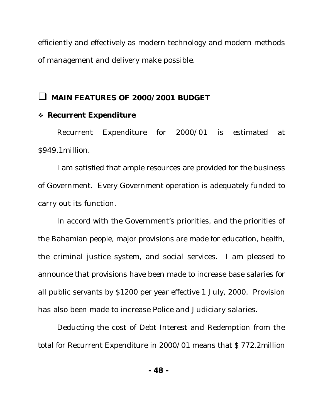efficiently and effectively as modern technology and modern methods of management and delivery make possible.

## **Q MAIN FEATURES OF 2000/2001 BUDGET**

### v *Recurrent Expenditure*

Recurrent Expenditure for 2000/01 is estimated at \$949.1million.

I am satisfied that ample resources are provided for the business of Government. Every Government operation is adequately funded to carry out its function.

In accord with the Government's priorities, and the priorities of the Bahamian people, major provisions are made for education, health, the criminal justice system, and social services. I am pleased to announce that provisions have been made to increase base salaries for all public servants by \$1200 per year effective 1 July, 2000. Provision has also been made to increase Police and Judiciary salaries.

Deducting the cost of Debt Interest and Redemption from the total for Recurrent Expenditure in 2000/01 means that \$ 772.2million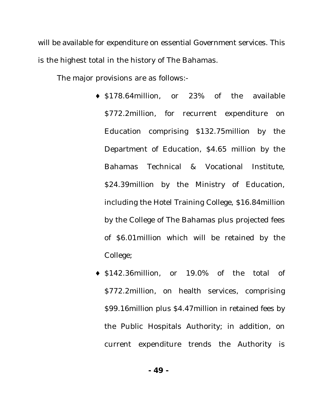will be available for expenditure on essential Government services. This is the highest total in the history of The Bahamas.

The major provisions are as follows:-

- ♦ \$178.64million, or 23% of the available \$772.2million, for recurrent expenditure on Education comprising \$132.75million by the Department of Education, \$4.65 million by the Bahamas Technical & Vocational Institute, \$24.39million by the Ministry of Education, including the Hotel Training College, \$16.84million by the College of The Bahamas plus projected fees of \$6.01million which will be retained by the College;
- ♦ \$142.36million, or 19.0% of the total of \$772.2million, on health services, comprising \$99.16million plus \$4.47million in retained fees by the Public Hospitals Authority; in addition, on current expenditure trends the Authority is

**- 49 -**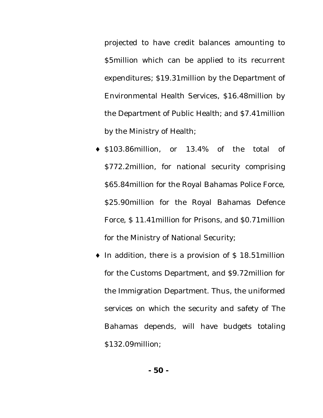projected to have credit balances amounting to \$5million which can be applied to its recurrent expenditures; \$19.31million by the Department of Environmental Health Services, \$16.48million by the Department of Public Health; and \$7.41million by the Ministry of Health;

- ♦ \$103.86million, or 13.4% of the total of \$772.2million, for national security comprising \$65.84million for the Royal Bahamas Police Force, \$25.90million for the Royal Bahamas Defence Force, \$ 11.41million for Prisons, and \$0.71million for the Ministry of National Security;
- $\bullet$  In addition, there is a provision of \$18.51 million for the Customs Department, and \$9.72million for the Immigration Department. Thus, the uniformed services on which the security and safety of The Bahamas depends, will have budgets totaling \$132.09million;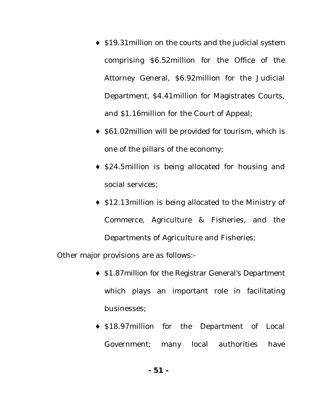- ♦ \$19.31million on the courts and the judicial system comprising \$6.52million for the Office of the Attorney General, \$6.92million for the Judicial Department, \$4.41million for Magistrates Courts, and \$1.16million for the Court of Appeal;
- ♦ \$61.02million will be provided for tourism, which is one of the pillars of the economy;
- ♦ \$24.5million is being allocated for housing and social services;
- ♦ \$12.13million is being allocated to the Ministry of Commerce, Agriculture & Fisheries, and the Departments of Agriculture and Fisheries;

Other major provisions are as follows:-

- ♦ \$1.87million for the Registrar General's Department which plays an important role in facilitating businesses;
- ♦ \$18.97million for the Department of Local Government; many local authorities have

**- 51 -**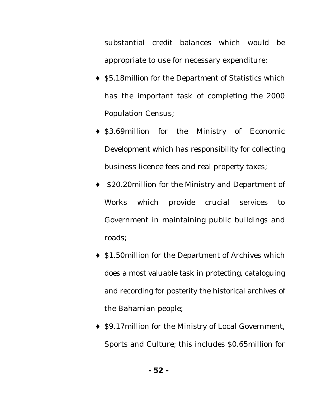substantial credit balances which would be appropriate to use for necessary expenditure;

- ♦ \$5.18million for the Department of Statistics which has the important task of completing the 2000 Population Census;
- ♦ \$3.69million for the Ministry of Economic Development which has responsibility for collecting business licence fees and real property taxes;
- \$20.20million for the Ministry and Department of Works which provide crucial services to Government in maintaining public buildings and roads;
- ♦ \$1.50million for the Department of Archives which does a most valuable task in protecting, cataloguing and recording for posterity the historical archives of the Bahamian people;
- ♦ \$9.17million for the Ministry of Local Government, Sports and Culture; this includes \$0.65million for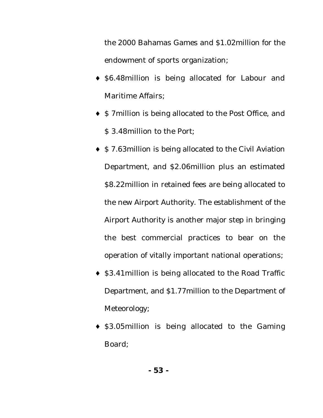the 2000 Bahamas Games and \$1.02million for the endowment of sports organization;

- ♦ \$6.48million is being allocated for Labour and Maritime Affairs;
- ♦ \$ 7million is being allocated to the Post Office, and \$ 3.48million to the Port;
- ♦ \$ 7.63million is being allocated to the Civil Aviation Department, and \$2.06million plus an estimated \$8.22million in retained fees are being allocated to the new Airport Authority. The establishment of the Airport Authority is another major step in bringing the best commercial practices to bear on the operation of vitally important national operations;
- ♦ \$3.41million is being allocated to the Road Traffic Department, and \$1.77million to the Department of Meteorology;
- ♦ \$3.05million is being allocated to the Gaming Board;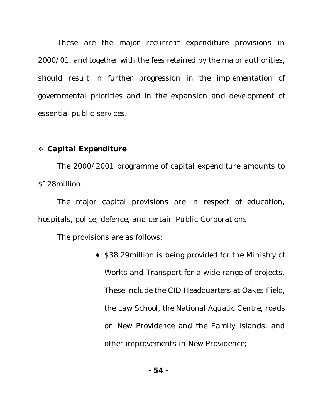These are the major recurrent expenditure provisions in 2000/01, and together with the fees retained by the major authorities, should result in further progression in the implementation of governmental priorities and in the expansion and development of essential public services.

#### v *Capital Expenditure*

The 2000/2001 programme of capital expenditure amounts to \$128million.

The major capital provisions are in respect of education, hospitals, police, defence, and certain Public Corporations.

The provisions are as follows:

♦ \$38.29million is being provided for the Ministry of Works and Transport for a wide range of projects. These include the CID Headquarters at Oakes Field, the Law School, the National Aquatic Centre, roads on New Providence and the Family Islands, and other improvements in New Providence;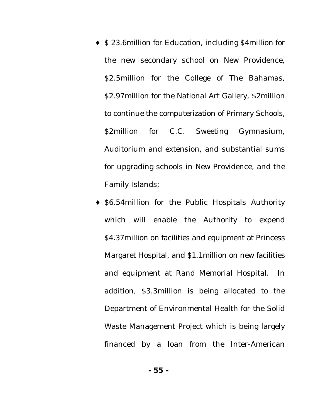- ♦ \$ 23.6million for Education, including \$4million for the new secondary school on New Providence, \$2.5million for the College of The Bahamas, \$2.97million for the National Art Gallery, \$2million to continue the computerization of Primary Schools, \$2million for C.C. Sweeting Gymnasium, Auditorium and extension, and substantial sums for upgrading schools in New Providence, and the Family Islands;
- ♦ \$6.54million for the Public Hospitals Authority which will enable the Authority to expend \$4.37million on facilities and equipment at Princess Margaret Hospital, and \$1.1million on new facilities and equipment at Rand Memorial Hospital. In addition, \$3.3million is being allocated to the Department of Environmental Health for the Solid Waste Management Project which is being largely financed by a loan from the Inter-American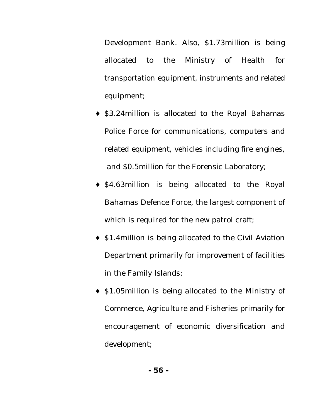Development Bank. Also, \$1.73million is being allocated to the Ministry of Health for transportation equipment, instruments and related equipment;

- ♦ \$3.24million is allocated to the Royal Bahamas Police Force for communications, computers and related equipment, vehicles including fire engines, and \$0.5million for the Forensic Laboratory;
- ♦ \$4.63million is being allocated to the Royal Bahamas Defence Force, the largest component of which is required for the new patrol craft;
- ♦ \$1.4million is being allocated to the Civil Aviation Department primarily for improvement of facilities in the Family Islands;
- ♦ \$1.05million is being allocated to the Ministry of Commerce, Agriculture and Fisheries primarily for encouragement of economic diversification and development;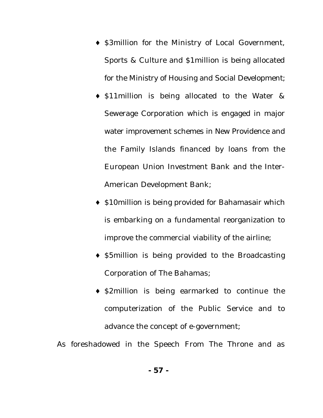- ♦ \$3million for the Ministry of Local Government, Sports & Culture and \$1million is being allocated for the Ministry of Housing and Social Development;
- ♦ \$11million is being allocated to the Water & Sewerage Corporation which is engaged in major water improvement schemes in New Providence and the Family Islands financed by loans from the European Union Investment Bank and the Inter-American Development Bank;
- ♦ \$10million is being provided for Bahamasair which is embarking on a fundamental reorganization to improve the commercial viability of the airline;
- ♦ \$5million is being provided to the Broadcasting Corporation of The Bahamas;
- ♦ \$2million is being earmarked to continue the computerization of the Public Service and to advance the concept of e-government;

As foreshadowed in the Speech From The Throne and as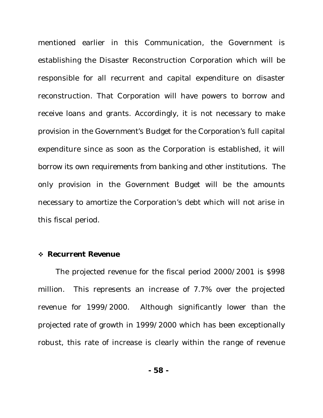mentioned earlier in this Communication, the Government is establishing the Disaster Reconstruction Corporation which will be responsible for all recurrent and capital expenditure on disaster reconstruction. That Corporation will have powers to borrow and receive loans and grants. Accordingly, it is not necessary to make provision in the Government's Budget for the Corporation's full capital expenditure since as soon as the Corporation is established, it will borrow its own requirements from banking and other institutions. The only provision in the Government Budget will be the amounts necessary to amortize the Corporation's debt which will not arise in this fiscal period.

#### v *Recurrent Revenue*

The projected revenue for the fiscal period 2000/2001 is \$998 million. This represents an increase of 7.7% over the projected revenue for 1999/2000. Although significantly lower than the projected rate of growth in 1999/2000 which has been exceptionally robust, this rate of increase is clearly within the range of revenue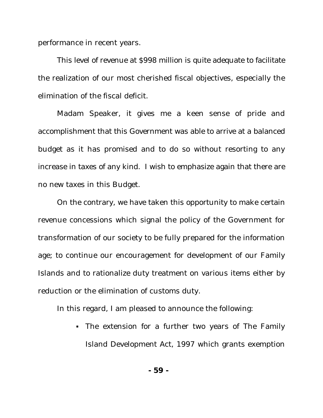performance in recent years.

This level of revenue at \$998 million is quite adequate to facilitate the realization of our most cherished fiscal objectives, especially the elimination of the fiscal deficit.

Madam Speaker, it gives me a keen sense of pride and accomplishment that this Government was able to arrive at a balanced budget as it has promised and to do so without resorting to any increase in taxes of any kind. I wish to emphasize again that there are no new taxes in this Budget.

On the contrary, we have taken this opportunity to make certain revenue concessions which signal the policy of the Government for transformation of our society to be fully prepared for the information age; to continue our encouragement for development of our Family Islands and to rationalize duty treatment on various items either by reduction or the elimination of customs duty.

In this regard, I am pleased to announce the following:

• The extension for a further two years of The Family Island Development Act, 1997 which grants exemption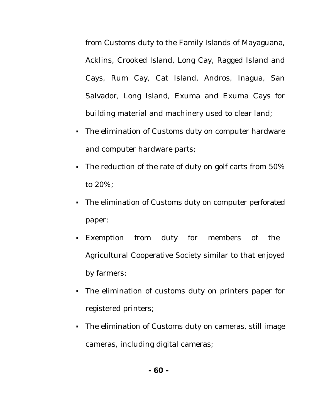from Customs duty to the Family Islands of Mayaguana, Acklins, Crooked Island, Long Cay, Ragged Island and Cays, Rum Cay, Cat Island, Andros, Inagua, San Salvador, Long Island, Exuma and Exuma Cays for building material and machinery used to clear land;

- The elimination of Customs duty on computer hardware and computer hardware parts;
- The reduction of the rate of duty on golf carts from 50% to 20%;
- The elimination of Customs duty on computer perforated paper;
- ß Exemption from duty for members of the Agricultural Cooperative Society similar to that enjoyed by farmers;
- The elimination of customs duty on printers paper for registered printers;
- The elimination of Customs duty on cameras, still image cameras, including digital cameras;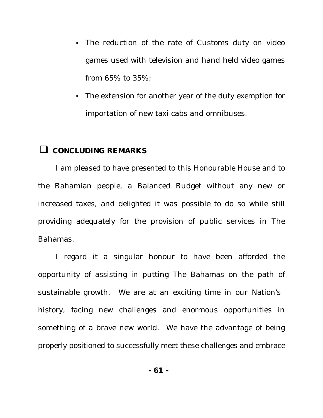- The reduction of the rate of Customs duty on video games used with television and hand held video games from 65% to 35%;
- The extension for another year of the duty exemption for importation of new taxi cabs and omnibuses.

## **Q** CONCLUDING REMARKS

I am pleased to have presented to this Honourable House and to the Bahamian people, a Balanced Budget without any new or increased taxes, and delighted it was possible to do so while still providing adequately for the provision of public services in The Bahamas.

I regard it a singular honour to have been afforded the opportunity of assisting in putting The Bahamas on the path of sustainable growth. We are at an exciting time in our Nation's history, facing new challenges and enormous opportunities in something of a brave new world. We have the advantage of being properly positioned to successfully meet these challenges and embrace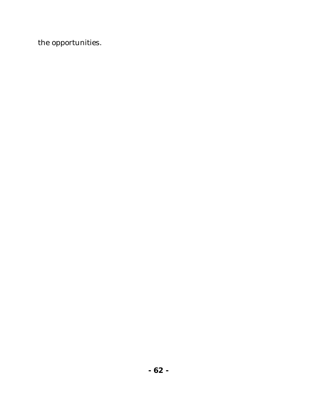the opportunities.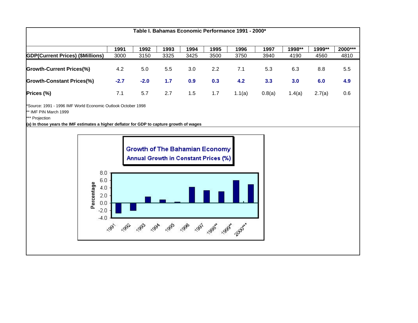| Table I. Bahamas Economic Performance 1991 - 2000* |        |        |               |                  |               |        |        |        |        |         |  |  |  |  |
|----------------------------------------------------|--------|--------|---------------|------------------|---------------|--------|--------|--------|--------|---------|--|--|--|--|
|                                                    | 1991   | 1992   | 1993          | 1994             | 1995          | 1996   | 1997   | 1998** | 1999** | 2000*** |  |  |  |  |
| <b>GDP(Current Prices) (\$Millions)</b>            | 3000   | 3150   | 3325          | 3425             | 3500          | 3750   | 3940   | 4190   | 4560   | 4810    |  |  |  |  |
| <b>Growth-Current Prices(%)</b>                    | 4.2    | 5.0    | $5.5^{\circ}$ | 3.0 <sub>2</sub> | $2.2^{\circ}$ | 7.1    | 5.3    | 6.3    | 8.8    | 5.5     |  |  |  |  |
| <b>Growth-Constant Prices(%)</b>                   | $-2.7$ | $-2.0$ | 1.7           | 0.9              | 0.3           | 4.2    | 3.3    | 3.0    | 6.0    | 4.9     |  |  |  |  |
| Prices (%)                                         | 7.1    | 5.7    | 2.7           | 1.5              | 1.7           | 1.1(a) | 0.8(a) | 1.4(a) | 2.7(a) | 0.6     |  |  |  |  |

\*Source: 1991 - 1996 IMF World Economic Outlook October 1998

\*\* IMF PIN March 1999

\*\*\* Projection

**(a) In those years the IMF estimates a higher deflator for GDP to capture growth of wages**

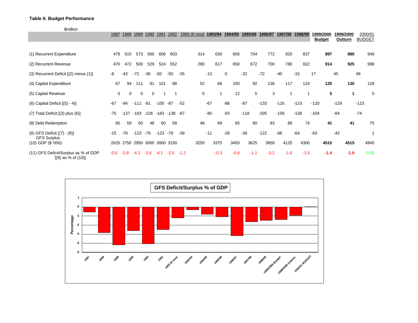#### **Table II. Budget Performance**

\$million

| <b></b>                                                        | 1987        | 1988     | 1989   | 1990                          | 1991   | 1992   | 1993 (6 mos) |             | 1993/94 | 1994/95 |        | 1995/96 | 1996/97 | 1997/98 | 1998/99 |        | 1999/2000<br><b>Budget</b> | 1999/2000<br>Outturn | 2000/01<br><b>BUDGET</b> |
|----------------------------------------------------------------|-------------|----------|--------|-------------------------------|--------|--------|--------------|-------------|---------|---------|--------|---------|---------|---------|---------|--------|----------------------------|----------------------|--------------------------|
| (1) Recurrent Expenditure                                      | 478         | 515      | 573    | 565                           | 606    | 603    |              | 314         | 630     |         | 656    | 704     | 772     | 820     | 837     |        | 897                        | 880                  | 949                      |
| (2) Recurrent Revenue                                          | 470         | 472      | 500    | 529                           | 524    | 552    |              | 280         | 617     | 650     |        | 672     | 700     | 780     | 822     |        | 914                        | 925                  | 998                      |
| (3) Recurrent Deficit [(2) minus (1)]                          | -8          | -43      | $-72$  | $-36$                         | $-82$  | -50    | $-35$        | $-13$       |         | -5      | $-32$  |         | $-72$   | $-40$   | $-15$   | 17     | 45                         |                      | 49                       |
| (4) Capital Expenditure                                        | 67          | 94       | 111    | 91                            | 101    | 88     |              | 52          | 68      |         | 100    | 92      | 136     | 117     | 124     |        | 125                        | 130                  | 128                      |
| (5) Capital Revenue                                            | $\mathbf 0$ | $\Omega$ | 0      | $\Omega$                      |        | -1     |              | $\mathbf 0$ |         |         | 12     | 5       | 3       |         |         |        | 5                          | 1                    | 5                        |
| $(6)$ Capital Deficit $[(5) - 4)]$                             | $-67$       | $-94$    | $-111$ | $-91$                         | $-100$ | -87    | $-52$        | $-67$       |         | $-88$   | $-87$  |         | $-133$  | $-116$  | $-123$  | $-120$ | $-129$                     |                      | $-123$                   |
| $(7)$ Total Deficit $[(3)$ plus $(6)]$                         | $-75$       | $-137$   |        | -183 -126 -183 -138 -87       |        |        |              | $-80$       |         | $-93$   | $-118$ |         | $-205$  | $-156$  | $-138$  | $-104$ | $-84$                      |                      | $-74$                    |
| (8) Debt Redemption                                            | 60          | 59       | 60     | 48                            | 60     | 58     |              | 48          | 69      |         | 65     | 80      | 83      | 89      | 74      |        | 41                         | 41                   | 75                       |
| (9) GFS Deficit [(7) - (8)]                                    | $-15$       | $-78$    | $-123$ | $-79$                         | -123   | -79    | $-39$        | $-11$       |         | $-28$   | $-39$  |         | $-122$  | $-66$   | $-64$   | $-63$  | $-43$                      |                      |                          |
| <b>GFS Surplus</b><br>(10) GDP (\$ '000)                       |             |          |        | 2625 2750 2950 3000 3000 3150 |        |        |              | 3250        | 3375    | 3450    |        | 3625    | 3850    | 4125    | 4300    |        | 4515                       | 4515                 | 4945                     |
| (11) GFS Deficit/Surplus as % of GDP<br>$[(9)$ as % of $(10)]$ | $-0.6$      | $-2.8$   | $-4.2$ | $-2.6$                        | $-4.1$ | $-2.5$ | $-1.2$       |             | $-0.3$  | $-0.8$  |        | $-1.1$  | $-3.2$  | $-1.6$  | $-1.5$  |        | $-1.4$                     | $-1.0$               | 0.02                     |

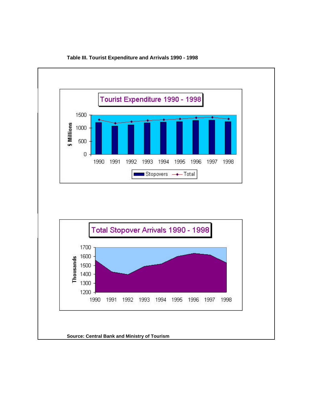

#### **Table III. Tourist Expenditure and Arrivals 1990 - 1998**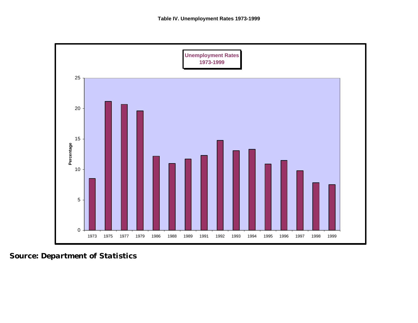

*Source: Department of Statistics*